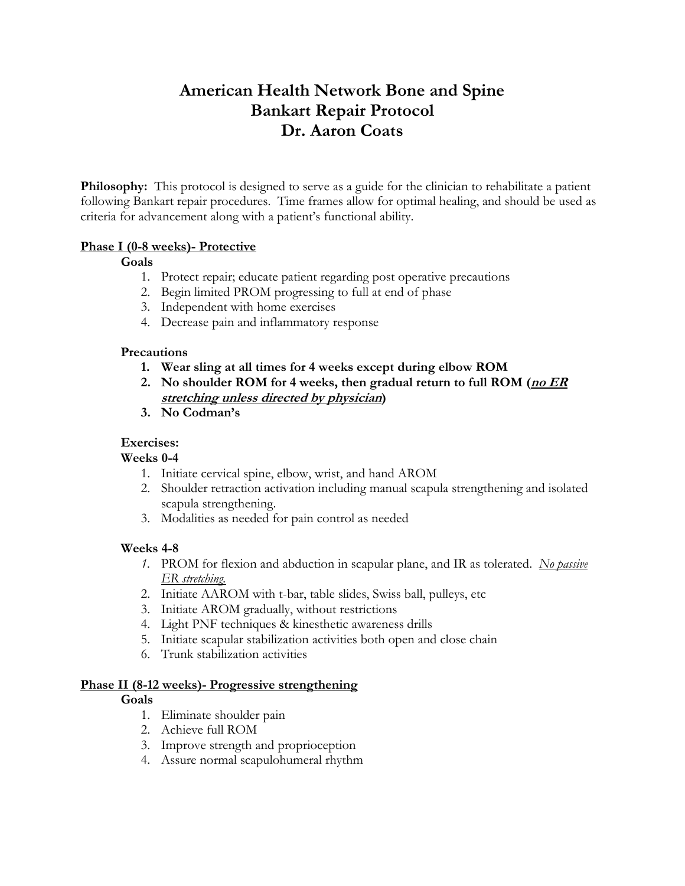# **American Health Network Bone and Spine Bankart Repair Protocol Dr. Aaron Coats**

**Philosophy:** This protocol is designed to serve as a guide for the clinician to rehabilitate a patient following Bankart repair procedures. Time frames allow for optimal healing, and should be used as criteria for advancement along with a patient's functional ability.

# **Phase I (0-8 weeks)- Protective**

# **Goals**

- 1. Protect repair; educate patient regarding post operative precautions
- 2. Begin limited PROM progressing to full at end of phase
- 3. Independent with home exercises
- 4. Decrease pain and inflammatory response

## **Precautions**

- **1. Wear sling at all times for 4 weeks except during elbow ROM**
- **2. No shoulder ROM for 4 weeks, then gradual return to full ROM (no ER stretching unless directed by physician)**
- **3. No Codman's**

# **Exercises:**

## **Weeks 0-4**

- 1. Initiate cervical spine, elbow, wrist, and hand AROM
- 2. Shoulder retraction activation including manual scapula strengthening and isolated scapula strengthening.
- 3. Modalities as needed for pain control as needed

## **Weeks 4-8**

- *1.* PROM for flexion and abduction in scapular plane, and IR as tolerated. *No passive ER stretching.*
- 2. Initiate AAROM with t-bar, table slides, Swiss ball, pulleys, etc
- 3. Initiate AROM gradually, without restrictions
- 4. Light PNF techniques & kinesthetic awareness drills
- 5. Initiate scapular stabilization activities both open and close chain
- 6. Trunk stabilization activities

## **Phase II (8-12 weeks)- Progressive strengthening**

# **Goals**

- 1. Eliminate shoulder pain
- 2. Achieve full ROM
- 3. Improve strength and proprioception
- 4. Assure normal scapulohumeral rhythm